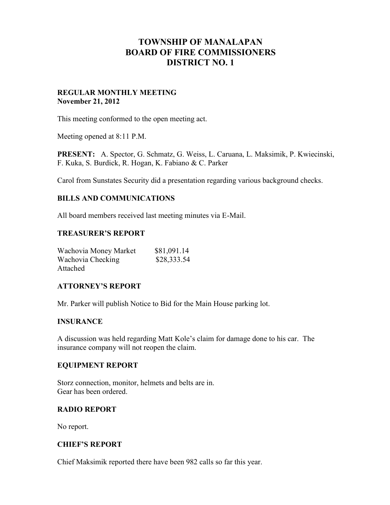# **TOWNSHIP OF MANALAPAN BOARD OF FIRE COMMISSIONERS DISTRICT NO. 1**

### **REGULAR MONTHLY MEETING November 21, 2012**

This meeting conformed to the open meeting act.

Meeting opened at 8:11 P.M.

**PRESENT:** A. Spector, G. Schmatz, G. Weiss, L. Caruana, L. Maksimik, P. Kwiecinski, F. Kuka, S. Burdick, R. Hogan, K. Fabiano & C. Parker

Carol from Sunstates Security did a presentation regarding various background checks.

### **BILLS AND COMMUNICATIONS**

All board members received last meeting minutes via E-Mail.

#### **TREASURER'S REPORT**

| Wachovia Money Market | \$81,091.14 |
|-----------------------|-------------|
| Wachovia Checking     | \$28,333.54 |
| Attached              |             |

#### **ATTORNEY'S REPORT**

Mr. Parker will publish Notice to Bid for the Main House parking lot.

#### **INSURANCE**

A discussion was held regarding Matt Kole's claim for damage done to his car. The insurance company will not reopen the claim.

#### **EQUIPMENT REPORT**

Storz connection, monitor, helmets and belts are in. Gear has been ordered.

#### **RADIO REPORT**

No report.

#### **CHIEF'S REPORT**

Chief Maksimik reported there have been 982 calls so far this year.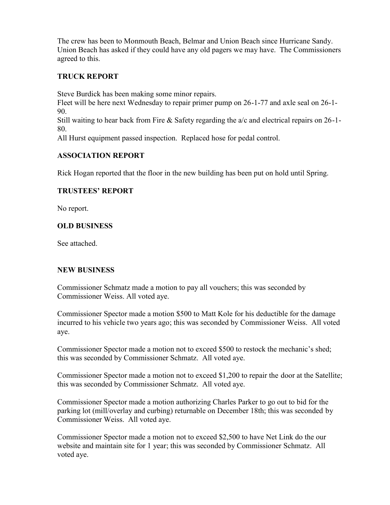The crew has been to Monmouth Beach, Belmar and Union Beach since Hurricane Sandy. Union Beach has asked if they could have any old pagers we may have. The Commissioners agreed to this.

## **TRUCK REPORT**

Steve Burdick has been making some minor repairs.

Fleet will be here next Wednesday to repair primer pump on 26-1-77 and axle seal on 26-1- 90.

Still waiting to hear back from Fire & Safety regarding the a/c and electrical repairs on 26-1- 80.

All Hurst equipment passed inspection. Replaced hose for pedal control.

### **ASSOCIATION REPORT**

Rick Hogan reported that the floor in the new building has been put on hold until Spring.

### **TRUSTEES' REPORT**

No report.

# **OLD BUSINESS**

See attached.

### **NEW BUSINESS**

Commissioner Schmatz made a motion to pay all vouchers; this was seconded by Commissioner Weiss. All voted aye.

Commissioner Spector made a motion \$500 to Matt Kole for his deductible for the damage incurred to his vehicle two years ago; this was seconded by Commissioner Weiss. All voted aye.

Commissioner Spector made a motion not to exceed \$500 to restock the mechanic's shed; this was seconded by Commissioner Schmatz. All voted aye.

Commissioner Spector made a motion not to exceed \$1,200 to repair the door at the Satellite; this was seconded by Commissioner Schmatz. All voted aye.

Commissioner Spector made a motion authorizing Charles Parker to go out to bid for the parking lot (mill/overlay and curbing) returnable on December 18th; this was seconded by Commissioner Weiss. All voted aye.

Commissioner Spector made a motion not to exceed \$2,500 to have Net Link do the our website and maintain site for 1 year; this was seconded by Commissioner Schmatz. All voted aye.